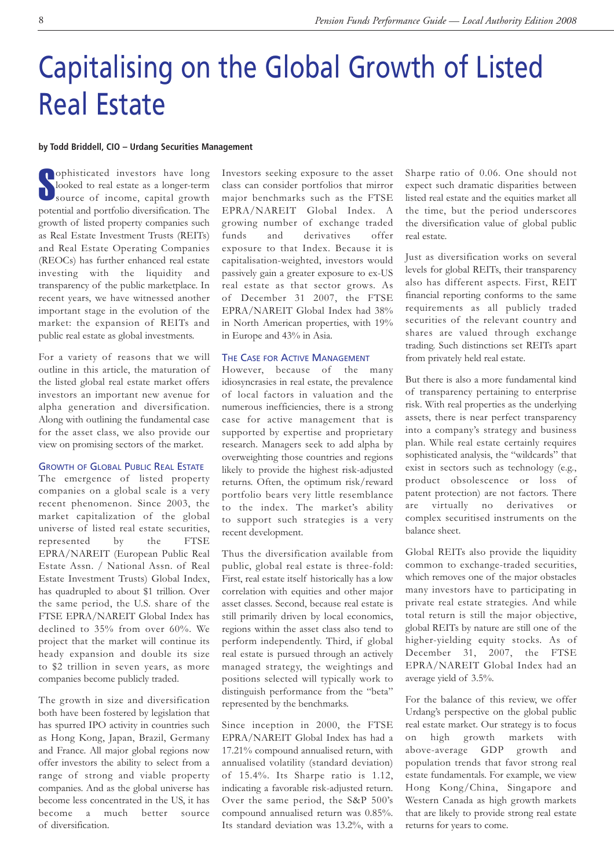# Capitalising on the Global Growth of Listed Real Estate

#### **by Todd Briddell, CIO – Urdang Securities Management**

**S**ophisticated investors have long<br>looked to real estate as a longer-term<br>source of income, capital growth ophisticated investors have long looked to real estate as a longer-term potential and portfolio diversification. The growth of listed property companies such as Real Estate Investment Trusts (REITs) and Real Estate Operating Companies (REOCs) has further enhanced real estate investing with the liquidity and transparency of the public marketplace. In recent years, we have witnessed another important stage in the evolution of the market: the expansion of REITs and public real estate as global investments.

For a variety of reasons that we will outline in this article, the maturation of the listed global real estate market offers investors an important new avenue for alpha generation and diversification. Along with outlining the fundamental case for the asset class, we also provide our view on promising sectors of the market.

#### GROWTH OF GLOBAL PUBLIC REAL ESTATE

The emergence of listed property companies on a global scale is a very recent phenomenon. Since 2003, the market capitalization of the global universe of listed real estate securities, represented by the FTSE EPRA/NAREIT (European Public Real Estate Assn. / National Assn. of Real Estate Investment Trusts) Global Index, has quadrupled to about \$1 trillion. Over the same period, the U.S. share of the FTSE EPRA/NAREIT Global Index has declined to 35% from over 60%. We project that the market will continue its heady expansion and double its size to \$2 trillion in seven years, as more companies become publicly traded.

The growth in size and diversification both have been fostered by legislation that has spurred IPO activity in countries such as Hong Kong, Japan, Brazil, Germany and France. All major global regions now offer investors the ability to select from a range of strong and viable property companies. And as the global universe has become less concentrated in the US, it has become a much better source of diversification.

Investors seeking exposure to the asset class can consider portfolios that mirror major benchmarks such as the FTSE EPRA/NAREIT Global Index. A growing number of exchange traded funds and derivatives offer exposure to that Index. Because it is capitalisation-weighted, investors would passively gain a greater exposure to ex-US real estate as that sector grows. As of December 31 2007, the FTSE EPRA/NAREIT Global Index had 38% in North American properties, with 19% in Europe and 43% in Asia.

#### THE CASE FOR ACTIVE MANAGEMENT

However, because of the many idiosyncrasies in real estate, the prevalence of local factors in valuation and the numerous inefficiencies, there is a strong case for active management that is supported by expertise and proprietary research. Managers seek to add alpha by overweighting those countries and regions likely to provide the highest risk-adjusted returns. Often, the optimum risk/reward portfolio bears very little resemblance to the index. The market's ability to support such strategies is a very recent development.

Thus the diversification available from public, global real estate is three-fold: First, real estate itself historically has a low correlation with equities and other major asset classes. Second, because real estate is still primarily driven by local economics, regions within the asset class also tend to perform independently. Third, if global real estate is pursued through an actively managed strategy, the weightings and positions selected will typically work to distinguish performance from the "beta" represented by the benchmarks.

Since inception in 2000, the FTSE EPRA/NAREIT Global Index has had a 17.21% compound annualised return, with annualised volatility (standard deviation) of 15.4%. Its Sharpe ratio is 1.12, indicating a favorable risk-adjusted return. Over the same period, the S&P 500's compound annualised return was 0.85%. Its standard deviation was 13.2%, with a

Sharpe ratio of 0.06. One should not expect such dramatic disparities between listed real estate and the equities market all the time, but the period underscores the diversification value of global public real estate.

Just as diversification works on several levels for global REITs, their transparency also has different aspects. First, REIT financial reporting conforms to the same requirements as all publicly traded securities of the relevant country and shares are valued through exchange trading. Such distinctions set REITs apart from privately held real estate.

But there is also a more fundamental kind of transparency pertaining to enterprise risk. With real properties as the underlying assets, there is near perfect transparency into a company's strategy and business plan. While real estate certainly requires sophisticated analysis, the "wildcards" that exist in sectors such as technology (e.g., product obsolescence or loss of patent protection) are not factors. There are virtually no derivatives or complex securitised instruments on the balance sheet.

Global REITs also provide the liquidity common to exchange-traded securities, which removes one of the major obstacles many investors have to participating in private real estate strategies. And while total return is still the major objective, global REITs by nature are still one of the higher-yielding equity stocks. As of December 31, 2007, the FTSE EPRA/NAREIT Global Index had an average yield of 3.5%.

For the balance of this review, we offer Urdang's perspective on the global public real estate market. Our strategy is to focus on high growth markets with above-average GDP growth and population trends that favor strong real estate fundamentals. For example, we view Hong Kong/China, Singapore and Western Canada as high growth markets that are likely to provide strong real estate returns for years to come.